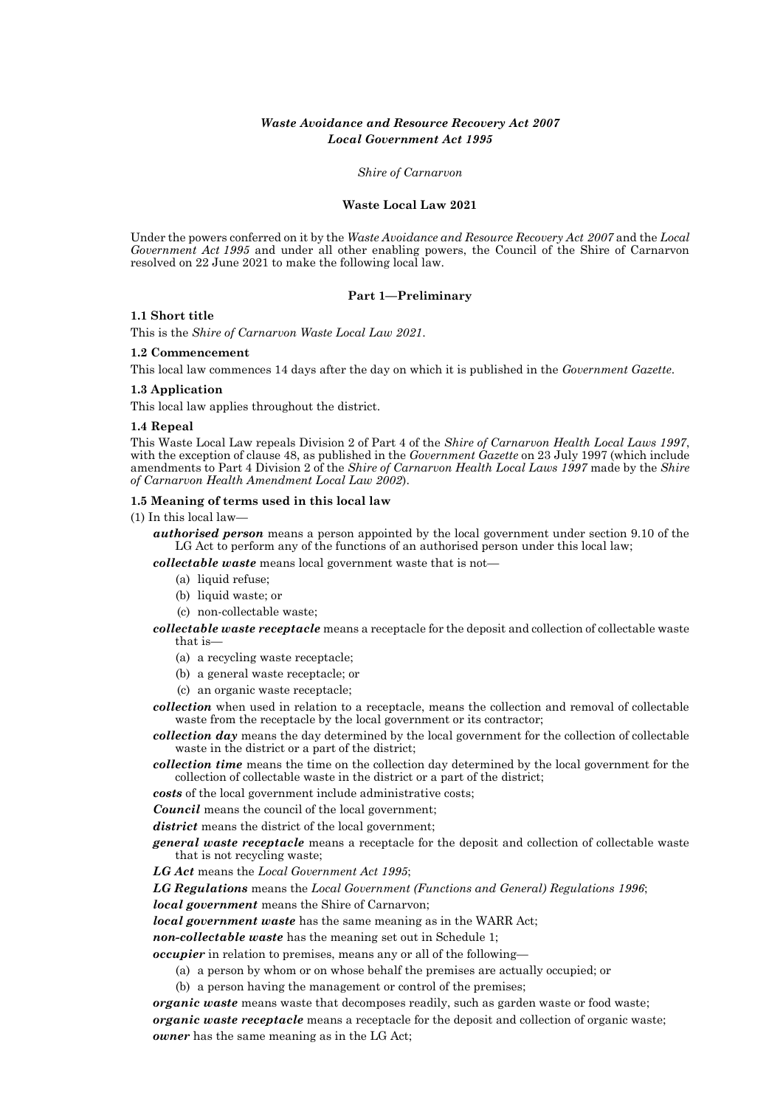# *Waste Avoidance and Resource Recovery Act 2007 Local Government Act 1995*

*Shire of Carnarvon*

#### **Waste Local Law 2021**

Under the powers conferred on it by the *Waste Avoidance and Resource Recovery Act 2007* and the *Local Government Act 1995* and under all other enabling powers, the Council of the Shire of Carnarvon resolved on 22 June 2021 to make the following local law.

#### **Part 1—Preliminary**

#### **1.1 Short title**

This is the *Shire of Carnarvon Waste Local Law 2021*.

#### **1.2 Commencement**

This local law commences 14 days after the day on which it is published in the *Government Gazette*.

#### **1.3 Application**

This local law applies throughout the district.

#### **1.4 Repeal**

This Waste Local Law repeals Division 2 of Part 4 of the *Shire of Carnarvon Health Local Laws 1997*, with the exception of clause 48, as published in the *Government Gazette* on 23 July 1997 (which include amendments to Part 4 Division 2 of the *Shire of Carnarvon Health Local Laws 1997* made by the *Shire of Carnarvon Health Amendment Local Law 2002*).

#### **1.5 Meaning of terms used in this local law**

(1) In this local law—

*authorised person* means a person appointed by the local government under section 9.10 of the LG Act to perform any of the functions of an authorised person under this local law;

*collectable waste* means local government waste that is not—

- (a) liquid refuse;
- (b) liquid waste; or
- (c) non-collectable waste;

*collectable waste receptacle* means a receptacle for the deposit and collection of collectable waste that is—

- (a) a recycling waste receptacle;
- (b) a general waste receptacle; or
- (c) an organic waste receptacle;

*collection* when used in relation to a receptacle, means the collection and removal of collectable waste from the receptacle by the local government or its contractor;

*collection day* means the day determined by the local government for the collection of collectable waste in the district or a part of the district;

*collection time* means the time on the collection day determined by the local government for the collection of collectable waste in the district or a part of the district;

*costs* of the local government include administrative costs;

*Council* means the council of the local government;

*district* means the district of the local government;

*general waste receptacle* means a receptacle for the deposit and collection of collectable waste that is not recycling waste;

*LG Act* means the *Local Government Act 1995*;

*LG Regulations* means the *Local Government (Functions and General) Regulations 1996*;

*local government* means the Shire of Carnarvon;

*local government waste* has the same meaning as in the WARR Act;

*non-collectable waste* has the meaning set out in Schedule 1;

*occupier* in relation to premises, means any or all of the following—

- (a) a person by whom or on whose behalf the premises are actually occupied; or
- (b) a person having the management or control of the premises;

*organic waste* means waste that decomposes readily, such as garden waste or food waste; *organic waste receptacle* means a receptacle for the deposit and collection of organic waste; *owner* has the same meaning as in the LG Act;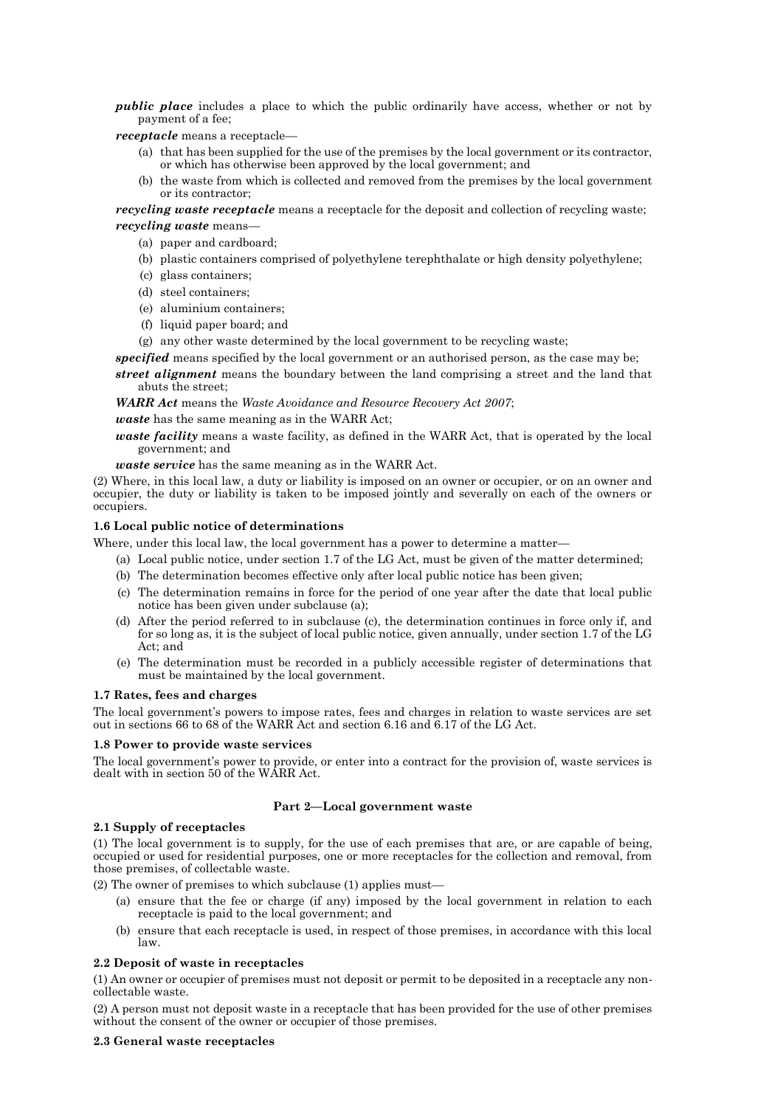*public place* includes a place to which the public ordinarily have access, whether or not by payment of a fee;

*receptacle* means a receptacle—

- (a) that has been supplied for the use of the premises by the local government or its contractor, or which has otherwise been approved by the local government; and
- (b) the waste from which is collected and removed from the premises by the local government or its contractor;

# *recycling waste receptacle* means a receptacle for the deposit and collection of recycling waste; *recycling waste* means—

- (a) paper and cardboard;
- (b) plastic containers comprised of polyethylene terephthalate or high density polyethylene;
- (c) glass containers;
- (d) steel containers;
- (e) aluminium containers;
- (f) liquid paper board; and
- (g) any other waste determined by the local government to be recycling waste;

*specified* means specified by the local government or an authorised person, as the case may be;

*street alignment* means the boundary between the land comprising a street and the land that abuts the street;

*WARR Act* means the *Waste Avoidance and Resource Recovery Act 2007*;

*waste* has the same meaning as in the WARR Act;

*waste facility* means a waste facility, as defined in the WARR Act, that is operated by the local government; and

*waste service* has the same meaning as in the WARR Act.

(2) Where, in this local law, a duty or liability is imposed on an owner or occupier, or on an owner and occupier, the duty or liability is taken to be imposed jointly and severally on each of the owners or occupiers.

## **1.6 Local public notice of determinations**

Where, under this local law, the local government has a power to determine a matter—

- (a) Local public notice, under section 1.7 of the LG Act, must be given of the matter determined;
- (b) The determination becomes effective only after local public notice has been given;
- (c) The determination remains in force for the period of one year after the date that local public notice has been given under subclause (a);
- (d) After the period referred to in subclause (c), the determination continues in force only if, and for so long as, it is the subject of local public notice, given annually, under section 1.7 of the LG Act; and
- (e) The determination must be recorded in a publicly accessible register of determinations that must be maintained by the local government.

#### **1.7 Rates, fees and charges**

The local government's powers to impose rates, fees and charges in relation to waste services are set out in sections 66 to 68 of the WARR Act and section 6.16 and 6.17 of the LG Act.

#### **1.8 Power to provide waste services**

The local government's power to provide, or enter into a contract for the provision of, waste services is dealt with in section 50 of the WARR Act.

## **Part 2—Local government waste**

### **2.1 Supply of receptacles**

(1) The local government is to supply, for the use of each premises that are, or are capable of being, occupied or used for residential purposes, one or more receptacles for the collection and removal, from those premises, of collectable waste.

(2) The owner of premises to which subclause (1) applies must—

- (a) ensure that the fee or charge (if any) imposed by the local government in relation to each receptacle is paid to the local government; and
- (b) ensure that each receptacle is used, in respect of those premises, in accordance with this local law.

#### **2.2 Deposit of waste in receptacles**

(1) An owner or occupier of premises must not deposit or permit to be deposited in a receptacle any noncollectable waste.

(2) A person must not deposit waste in a receptacle that has been provided for the use of other premises without the consent of the owner or occupier of those premises.

## **2.3 General waste receptacles**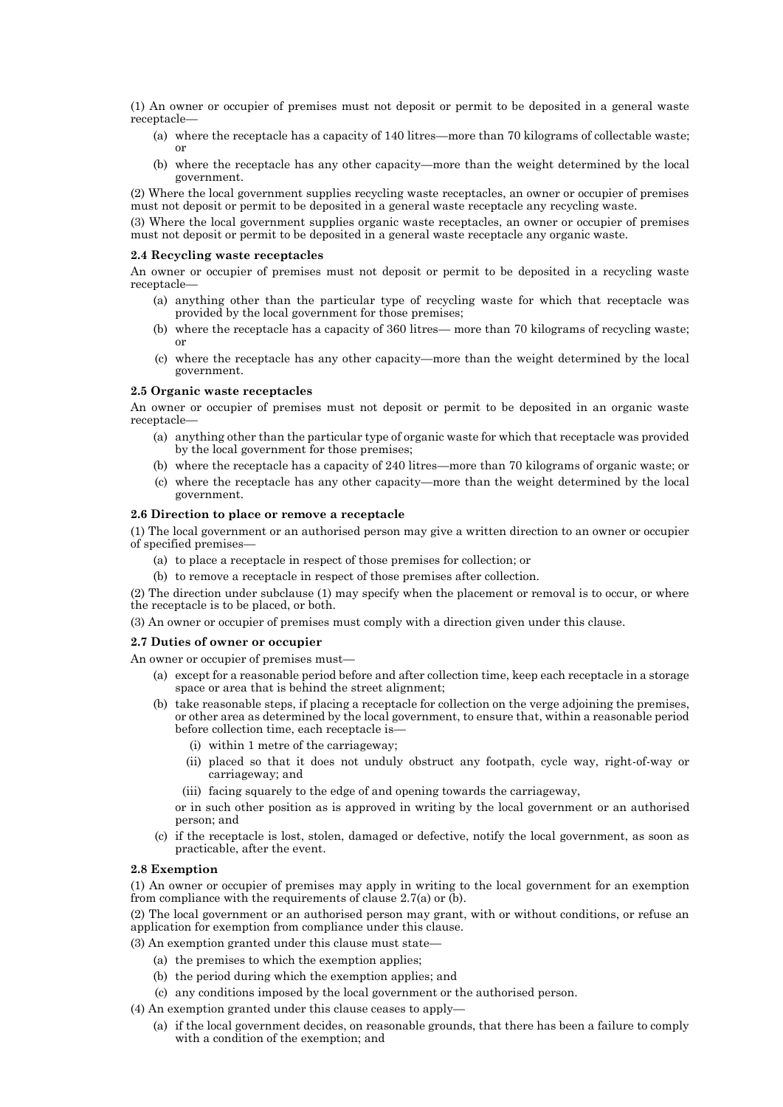(1) An owner or occupier of premises must not deposit or permit to be deposited in a general waste receptacle—

- (a) where the receptacle has a capacity of 140 litres—more than 70 kilograms of collectable waste; or
- (b) where the receptacle has any other capacity—more than the weight determined by the local government.

(2) Where the local government supplies recycling waste receptacles, an owner or occupier of premises must not deposit or permit to be deposited in a general waste receptacle any recycling waste.

(3) Where the local government supplies organic waste receptacles, an owner or occupier of premises must not deposit or permit to be deposited in a general waste receptacle any organic waste.

#### **2.4 Recycling waste receptacles**

An owner or occupier of premises must not deposit or permit to be deposited in a recycling waste receptacle—

- (a) anything other than the particular type of recycling waste for which that receptacle was provided by the local government for those premises;
- (b) where the receptacle has a capacity of 360 litres— more than 70 kilograms of recycling waste; or
- (c) where the receptacle has any other capacity—more than the weight determined by the local government.

#### **2.5 Organic waste receptacles**

An owner or occupier of premises must not deposit or permit to be deposited in an organic waste receptacle—

- (a) anything other than the particular type of organic waste for which that receptacle was provided by the local government for those premises;
- (b) where the receptacle has a capacity of 240 litres—more than 70 kilograms of organic waste; or
- (c) where the receptacle has any other capacity—more than the weight determined by the local government.

#### **2.6 Direction to place or remove a receptacle**

(1) The local government or an authorised person may give a written direction to an owner or occupier of specified premises—

- (a) to place a receptacle in respect of those premises for collection; or
- (b) to remove a receptacle in respect of those premises after collection.

(2) The direction under subclause (1) may specify when the placement or removal is to occur, or where the receptacle is to be placed, or both.

(3) An owner or occupier of premises must comply with a direction given under this clause.

### **2.7 Duties of owner or occupier**

An owner or occupier of premises must—

- (a) except for a reasonable period before and after collection time, keep each receptacle in a storage space or area that is behind the street alignment;
- (b) take reasonable steps, if placing a receptacle for collection on the verge adjoining the premises, or other area as determined by the local government, to ensure that, within a reasonable period before collection time, each receptacle is—
	- (i) within 1 metre of the carriageway;
	- (ii) placed so that it does not unduly obstruct any footpath, cycle way, right-of-way or carriageway; and
	- (iii) facing squarely to the edge of and opening towards the carriageway,

or in such other position as is approved in writing by the local government or an authorised person; and

(c) if the receptacle is lost, stolen, damaged or defective, notify the local government, as soon as practicable, after the event.

### **2.8 Exemption**

(1) An owner or occupier of premises may apply in writing to the local government for an exemption from compliance with the requirements of clause 2.7(a) or (b).

(2) The local government or an authorised person may grant, with or without conditions, or refuse an application for exemption from compliance under this clause.

- (3) An exemption granted under this clause must state—
	- (a) the premises to which the exemption applies;
	- (b) the period during which the exemption applies; and
	- (c) any conditions imposed by the local government or the authorised person.

(4) An exemption granted under this clause ceases to apply—

(a) if the local government decides, on reasonable grounds, that there has been a failure to comply with a condition of the exemption; and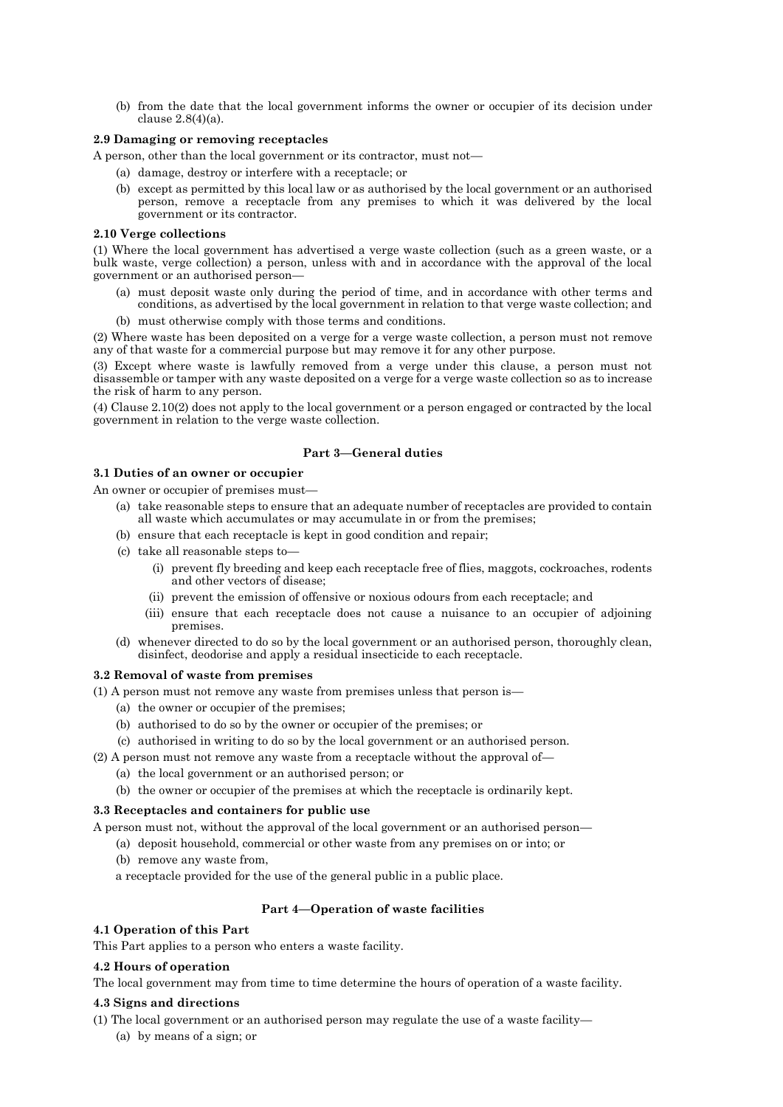(b) from the date that the local government informs the owner or occupier of its decision under clause 2.8(4)(a).

## **2.9 Damaging or removing receptacles**

A person, other than the local government or its contractor, must not—

- (a) damage, destroy or interfere with a receptacle; or
- (b) except as permitted by this local law or as authorised by the local government or an authorised person, remove a receptacle from any premises to which it was delivered by the local government or its contractor.

## **2.10 Verge collections**

(1) Where the local government has advertised a verge waste collection (such as a green waste, or a bulk waste, verge collection) a person, unless with and in accordance with the approval of the local government or an authorised person—

- (a) must deposit waste only during the period of time, and in accordance with other terms and conditions, as advertised by the local government in relation to that verge waste collection; and
- (b) must otherwise comply with those terms and conditions.

(2) Where waste has been deposited on a verge for a verge waste collection, a person must not remove any of that waste for a commercial purpose but may remove it for any other purpose.

(3) Except where waste is lawfully removed from a verge under this clause, a person must not disassemble or tamper with any waste deposited on a verge for a verge waste collection so as to increase the risk of harm to any person.

(4) Clause 2.10(2) does not apply to the local government or a person engaged or contracted by the local government in relation to the verge waste collection.

## **Part 3—General duties**

## **3.1 Duties of an owner or occupier**

An owner or occupier of premises must—

- (a) take reasonable steps to ensure that an adequate number of receptacles are provided to contain all waste which accumulates or may accumulate in or from the premises;
- (b) ensure that each receptacle is kept in good condition and repair;
- (c) take all reasonable steps to—
	- (i) prevent fly breeding and keep each receptacle free of flies, maggots, cockroaches, rodents and other vectors of disease;
	- (ii) prevent the emission of offensive or noxious odours from each receptacle; and
	- (iii) ensure that each receptacle does not cause a nuisance to an occupier of adjoining premises.
- (d) whenever directed to do so by the local government or an authorised person, thoroughly clean, disinfect, deodorise and apply a residual insecticide to each receptacle.

## **3.2 Removal of waste from premises**

(1) A person must not remove any waste from premises unless that person is—

- (a) the owner or occupier of the premises;
- (b) authorised to do so by the owner or occupier of the premises; or
- (c) authorised in writing to do so by the local government or an authorised person.
- (2) A person must not remove any waste from a receptacle without the approval of—
	- (a) the local government or an authorised person; or
	- (b) the owner or occupier of the premises at which the receptacle is ordinarily kept.

## **3.3 Receptacles and containers for public use**

A person must not, without the approval of the local government or an authorised person—

- (a) deposit household, commercial or other waste from any premises on or into; or
- (b) remove any waste from,

a receptacle provided for the use of the general public in a public place.

## **Part 4—Operation of waste facilities**

## **4.1 Operation of this Part**

This Part applies to a person who enters a waste facility.

## **4.2 Hours of operation**

The local government may from time to time determine the hours of operation of a waste facility.

# **4.3 Signs and directions**

(1) The local government or an authorised person may regulate the use of a waste facility—

(a) by means of a sign; or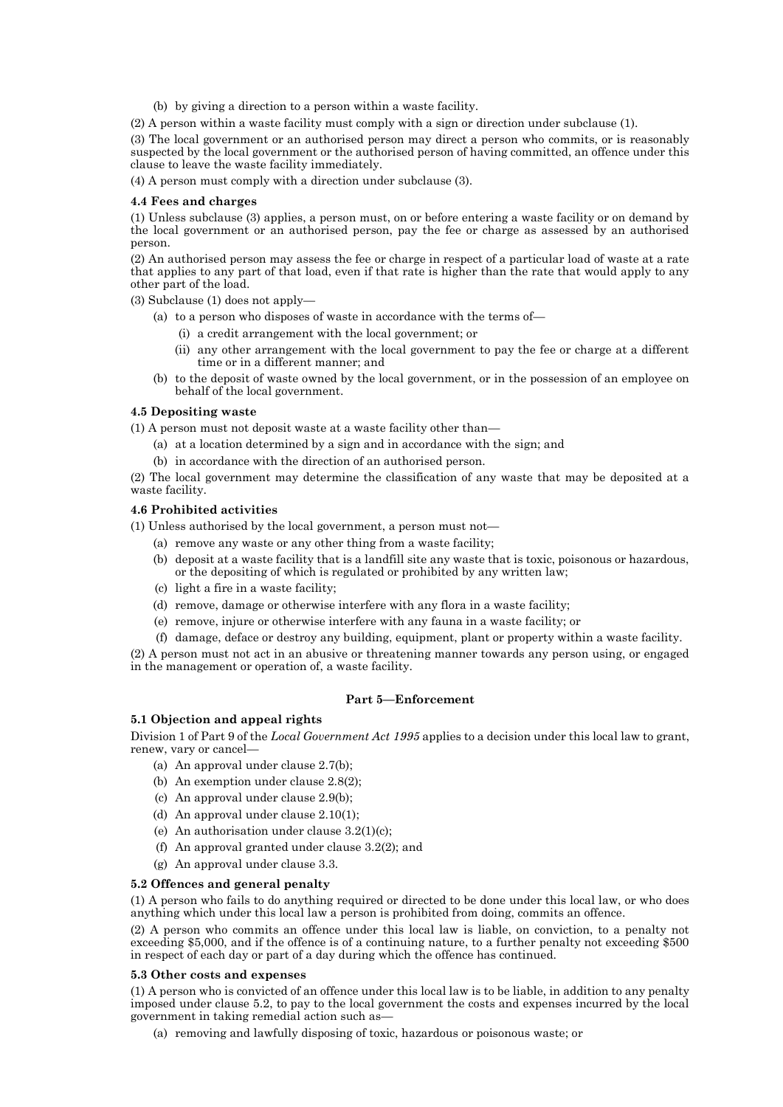- (b) by giving a direction to a person within a waste facility.
- (2) A person within a waste facility must comply with a sign or direction under subclause (1).

(3) The local government or an authorised person may direct a person who commits, or is reasonably suspected by the local government or the authorised person of having committed, an offence under this clause to leave the waste facility immediately.

(4) A person must comply with a direction under subclause (3).

#### **4.4 Fees and charges**

(1) Unless subclause (3) applies, a person must, on or before entering a waste facility or on demand by the local government or an authorised person, pay the fee or charge as assessed by an authorised person.

(2) An authorised person may assess the fee or charge in respect of a particular load of waste at a rate that applies to any part of that load, even if that rate is higher than the rate that would apply to any other part of the load.

(3) Subclause (1) does not apply—

- (a) to a person who disposes of waste in accordance with the terms of—
	- (i) a credit arrangement with the local government; or
	- (ii) any other arrangement with the local government to pay the fee or charge at a different time or in a different manner; and
- (b) to the deposit of waste owned by the local government, or in the possession of an employee on behalf of the local government.

#### **4.5 Depositing waste**

(1) A person must not deposit waste at a waste facility other than—

- (a) at a location determined by a sign and in accordance with the sign; and
- (b) in accordance with the direction of an authorised person.

(2) The local government may determine the classification of any waste that may be deposited at a waste facility.

## **4.6 Prohibited activities**

(1) Unless authorised by the local government, a person must not—

- (a) remove any waste or any other thing from a waste facility;
- (b) deposit at a waste facility that is a landfill site any waste that is toxic, poisonous or hazardous, or the depositing of which is regulated or prohibited by any written law;
- (c) light a fire in a waste facility;
- (d) remove, damage or otherwise interfere with any flora in a waste facility;
- (e) remove, injure or otherwise interfere with any fauna in a waste facility; or
- (f) damage, deface or destroy any building, equipment, plant or property within a waste facility.

(2) A person must not act in an abusive or threatening manner towards any person using, or engaged in the management or operation of, a waste facility.

## **Part 5—Enforcement**

### **5.1 Objection and appeal rights**

Division 1 of Part 9 of the *Local Government Act 1995* applies to a decision under this local law to grant, renew, vary or cancel—

- (a) An approval under clause 2.7(b);
- (b) An exemption under clause 2.8(2);
- (c) An approval under clause 2.9(b);
- (d) An approval under clause 2.10(1);
- (e) An authorisation under clause 3.2(1)(c);
- (f) An approval granted under clause 3.2(2); and
- (g) An approval under clause 3.3.

#### **5.2 Offences and general penalty**

(1) A person who fails to do anything required or directed to be done under this local law, or who does anything which under this local law a person is prohibited from doing, commits an offence.

(2) A person who commits an offence under this local law is liable, on conviction, to a penalty not exceeding \$5,000, and if the offence is of a continuing nature, to a further penalty not exceeding \$500 in respect of each day or part of a day during which the offence has continued.

#### **5.3 Other costs and expenses**

(1) A person who is convicted of an offence under this local law is to be liable, in addition to any penalty imposed under clause 5.2, to pay to the local government the costs and expenses incurred by the local government in taking remedial action such as—

(a) removing and lawfully disposing of toxic, hazardous or poisonous waste; or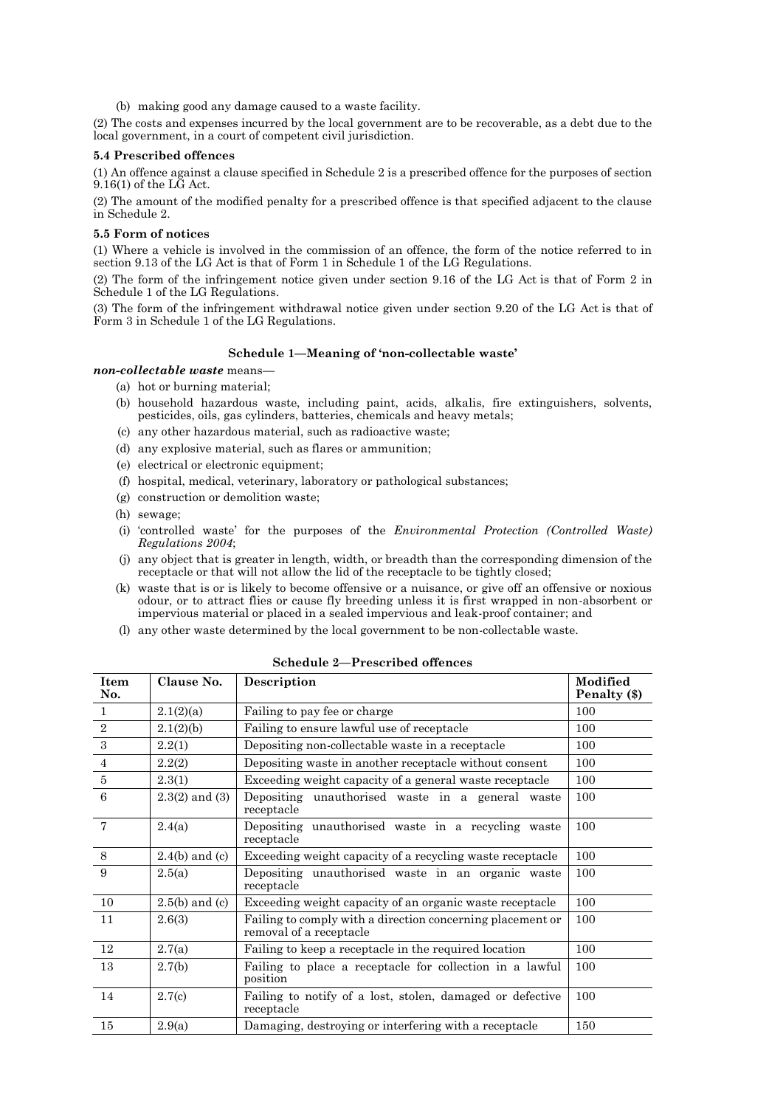(b) making good any damage caused to a waste facility.

(2) The costs and expenses incurred by the local government are to be recoverable, as a debt due to the local government, in a court of competent civil jurisdiction.

### **5.4 Prescribed offences**

(1) An offence against a clause specified in Schedule 2 is a prescribed offence for the purposes of section 9.16(1) of the LG Act.

(2) The amount of the modified penalty for a prescribed offence is that specified adjacent to the clause in Schedule 2.

#### **5.5 Form of notices**

(1) Where a vehicle is involved in the commission of an offence, the form of the notice referred to in section 9.13 of the LG Act is that of Form 1 in Schedule 1 of the LG Regulations.

(2) The form of the infringement notice given under section 9.16 of the LG Act is that of Form 2 in Schedule 1 of the LG Regulations.

(3) The form of the infringement withdrawal notice given under section 9.20 of the LG Act is that of Form 3 in Schedule 1 of the LG Regulations.

## **Schedule 1—Meaning of 'non-collectable waste'**

*non-collectable waste* means—

- (a) hot or burning material;
- (b) household hazardous waste, including paint, acids, alkalis, fire extinguishers, solvents, pesticides, oils, gas cylinders, batteries, chemicals and heavy metals;
- (c) any other hazardous material, such as radioactive waste;
- (d) any explosive material, such as flares or ammunition;
- (e) electrical or electronic equipment;
- (f) hospital, medical, veterinary, laboratory or pathological substances;
- (g) construction or demolition waste;
- (h) sewage;
- (i) 'controlled waste' for the purposes of the *Environmental Protection (Controlled Waste) Regulations 2004*;
- (j) any object that is greater in length, width, or breadth than the corresponding dimension of the receptacle or that will not allow the lid of the receptacle to be tightly closed;
- (k) waste that is or is likely to become offensive or a nuisance, or give off an offensive or noxious odour, or to attract flies or cause fly breeding unless it is first wrapped in non-absorbent or impervious material or placed in a sealed impervious and leak-proof container; and
- (l) any other waste determined by the local government to be non-collectable waste.

| Item<br>No.    | Clause No.         | Description                                                                           | Modified<br>Penalty (\$) |
|----------------|--------------------|---------------------------------------------------------------------------------------|--------------------------|
| $\mathbf{1}$   | 2.1(2)(a)          | Failing to pay fee or charge                                                          | 100                      |
| 2              | 2.1(2)(b)          | Failing to ensure lawful use of receptacle                                            | 100                      |
| 3              | 2.2(1)             | Depositing non-collectable waste in a receptacle                                      | 100                      |
| $\overline{4}$ | 2.2(2)             | Depositing waste in another receptacle without consent                                | 100                      |
| $\bf 5$        | 2.3(1)             | Exceeding weight capacity of a general waste receptacle                               | 100                      |
| 6              | $2.3(2)$ and $(3)$ | Depositing unauthorised waste in a general waste<br>receptacle                        | 100                      |
| $\overline{7}$ | 2.4(a)             | Depositing unauthorised waste in a recycling waste<br>receptacle                      | 100                      |
| 8              | $2.4(b)$ and (c)   | Exceeding weight capacity of a recycling waste receptacle                             | 100                      |
| 9              | 2.5(a)             | Depositing unauthorised waste in an organic waste<br>receptacle                       | 100                      |
| 10             | $2.5(b)$ and (c)   | Exceeding weight capacity of an organic waste receptacle                              | 100                      |
| 11             | 2.6(3)             | Failing to comply with a direction concerning placement or<br>removal of a receptacle | 100                      |
| 12             | 2.7(a)             | Failing to keep a receptacle in the required location                                 | 100                      |
| 13             | 2.7(b)             | Failing to place a receptacle for collection in a lawful<br>position                  | 100                      |
| 14             | 2.7(c)             | Failing to notify of a lost, stolen, damaged or defective<br>receptacle               | 100                      |
| 15             | 2.9(a)             | Damaging, destroying or interfering with a receptacle                                 | 150                      |

## **Schedule 2—Prescribed offences**